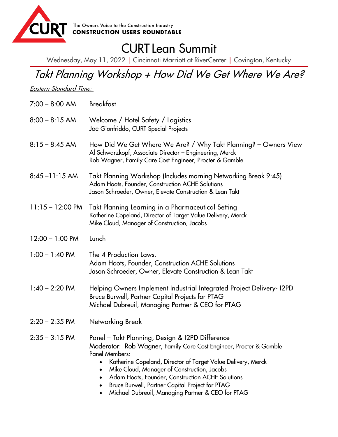

## CURT Lean Summit

Wednesday, May 11, 2022 | Cincinnati Marriott at RiverCenter | Covington, Kentucky

## Takt Planning Workshop + How Did We Get Where We Are?

Eastern Standard Time:

| $7:00 - 8:00$ AM           | <b>Breakfast</b>                                                                                                                                                                                                                                                                                                                                                                                                          |
|----------------------------|---------------------------------------------------------------------------------------------------------------------------------------------------------------------------------------------------------------------------------------------------------------------------------------------------------------------------------------------------------------------------------------------------------------------------|
| $8:00 - 8:15$ AM           | Welcome / Hotel Safety / Logistics<br>Joe Gionfriddo, CURT Special Projects                                                                                                                                                                                                                                                                                                                                               |
| $8:15 - 8:45$ AM           | How Did We Get Where We Are? / Why Takt Planning? – Owners View<br>Al Schwarzkopf, Associate Director - Engineering, Merck<br>Rob Wagner, Family Care Cost Engineer, Procter & Gamble                                                                                                                                                                                                                                     |
| $8:45 - 11:15$ AM          | Takt Planning Workshop (Includes morning Networking Break 9:45)<br>Adam Hoots, Founder, Construction ACHE Solutions<br>Jason Schroeder, Owner, Elevate Construction & Lean Takt                                                                                                                                                                                                                                           |
| $11:15 - 12:00 \text{ PM}$ | Takt Planning Learning in a Pharmaceutical Setting<br>Katherine Copeland, Director of Target Value Delivery, Merck<br>Mike Cloud, Manager of Construction, Jacobs                                                                                                                                                                                                                                                         |
| $12:00 - 1:00$ PM          | Lunch                                                                                                                                                                                                                                                                                                                                                                                                                     |
| $1:00 - 1:40$ PM           | The 4 Production Laws.<br>Adam Hoots, Founder, Construction ACHE Solutions<br>Jason Schroeder, Owner, Elevate Construction & Lean Takt                                                                                                                                                                                                                                                                                    |
| $1:40 - 2:20$ PM           | Helping Owners Implement Industrial Integrated Project Delivery-12PD<br>Bruce Burwell, Partner Capital Projects for PTAG<br>Michael Dubreuil, Managing Partner & CEO for PTAG                                                                                                                                                                                                                                             |
| $2:20 - 2:35$ PM           | Networking Break                                                                                                                                                                                                                                                                                                                                                                                                          |
| $2:35 - 3:15$ PM           | Panel - Takt Planning, Design & I2PD Difference<br>Moderator: Rob Wagner, Family Care Cost Engineer, Procter & Gamble<br><b>Panel Members:</b><br>Katherine Copeland, Director of Target Value Delivery, Merck<br>Mike Cloud, Manager of Construction, Jacobs<br>Adam Hoots, Founder, Construction ACHE Solutions<br>Bruce Burwell, Partner Capital Project for PTAG<br>Michael Dubreuil, Managing Partner & CEO for PTAG |